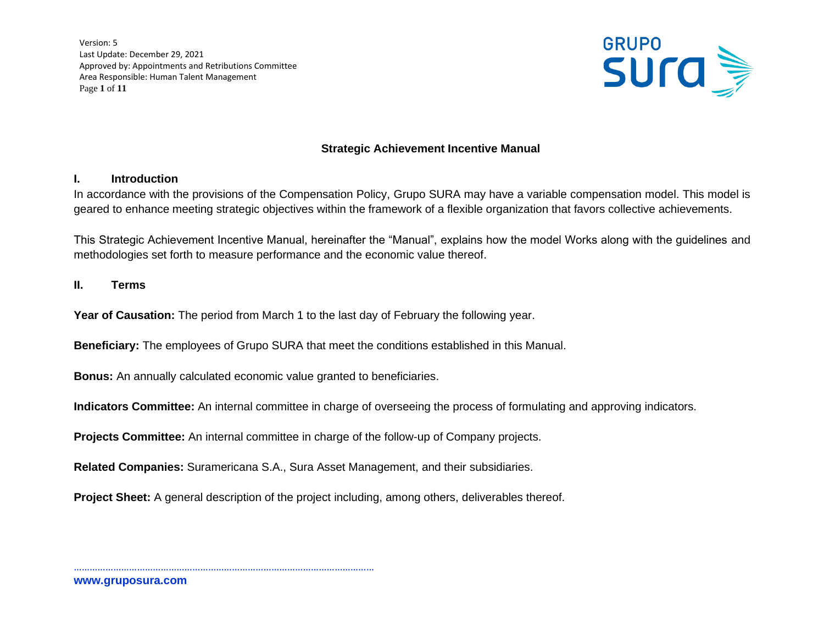Version: 5 Last Update: December 29, 2021 Approved by: Appointments and Retributions Committee Area Responsible: Human Talent Management Page **1** of **11**



# **Strategic Achievement Incentive Manual**

## **I. Introduction**

In accordance with the provisions of the Compensation Policy, Grupo SURA may have a variable compensation model. This model is geared to enhance meeting strategic objectives within the framework of a flexible organization that favors collective achievements.

This Strategic Achievement Incentive Manual, hereinafter the "Manual", explains how the model Works along with the guidelines and methodologies set forth to measure performance and the economic value thereof.

### **II. Terms**

**Year of Causation:** The period from March 1 to the last day of February the following year.

**Beneficiary:** The employees of Grupo SURA that meet the conditions established in this Manual.

**Bonus:** An annually calculated economic value granted to beneficiaries.

……………………………………………………………………………………………………

**Indicators Committee:** An internal committee in charge of overseeing the process of formulating and approving indicators.

**Projects Committee:** An internal committee in charge of the follow-up of Company projects.

**Related Companies:** Suramericana S.A., Sura Asset Management, and their subsidiaries.

**Project Sheet:** A general description of the project including, among others, deliverables thereof.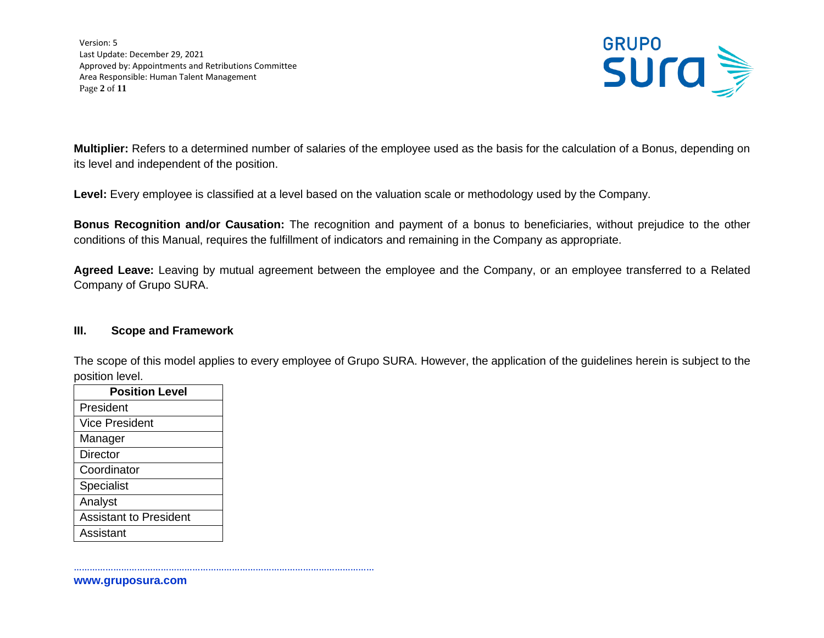Version: 5 Last Update: December 29, 2021 Approved by: Appointments and Retributions Committee Area Responsible: Human Talent Management Page **2** of **11**



**Multiplier:** Refers to a determined number of salaries of the employee used as the basis for the calculation of a Bonus, depending on its level and independent of the position.

**Level:** Every employee is classified at a level based on the valuation scale or methodology used by the Company.

**Bonus Recognition and/or Causation:** The recognition and payment of a bonus to beneficiaries, without prejudice to the other conditions of this Manual, requires the fulfillment of indicators and remaining in the Company as appropriate.

**Agreed Leave:** Leaving by mutual agreement between the employee and the Company, or an employee transferred to a Related Company of Grupo SURA.

#### **III. Scope and Framework**

The scope of this model applies to every employee of Grupo SURA. However, the application of the guidelines herein is subject to the position level.

| <b>Position Level</b>         |  |
|-------------------------------|--|
| President                     |  |
| <b>Vice President</b>         |  |
| Manager                       |  |
| <b>Director</b>               |  |
| Coordinator                   |  |
| Specialist                    |  |
| Analyst                       |  |
| <b>Assistant to President</b> |  |
| Assistant                     |  |

**www.gruposura.com**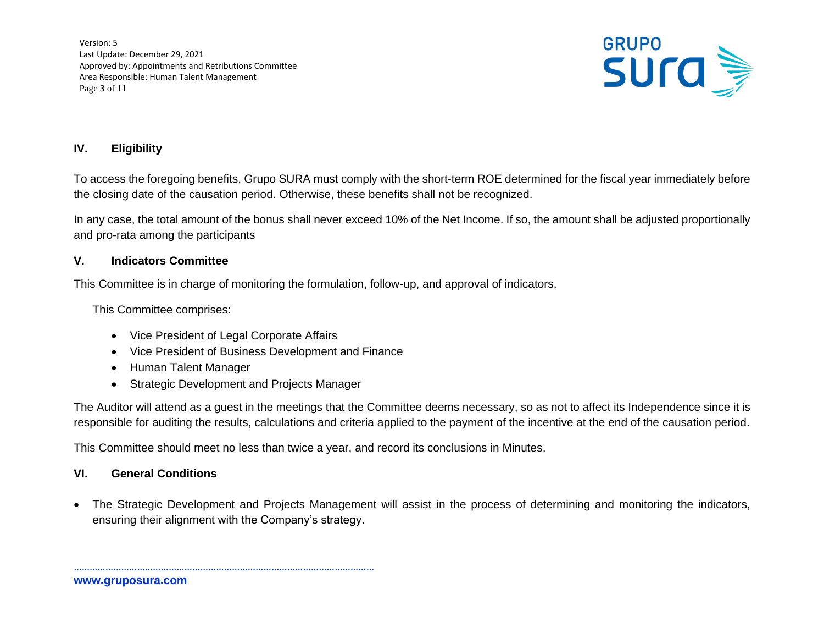Version: 5 Last Update: December 29, 2021 Approved by: Appointments and Retributions Committee Area Responsible: Human Talent Management Page **3** of **11**



# **IV. Eligibility**

To access the foregoing benefits, Grupo SURA must comply with the short-term ROE determined for the fiscal year immediately before the closing date of the causation period. Otherwise, these benefits shall not be recognized.

In any case, the total amount of the bonus shall never exceed 10% of the Net Income. If so, the amount shall be adjusted proportionally and pro-rata among the participants

### **V. Indicators Committee**

This Committee is in charge of monitoring the formulation, follow-up, and approval of indicators.

This Committee comprises:

• Vice President of Legal Corporate Affairs

……………………………………………………………………………………………………

- Vice President of Business Development and Finance
- Human Talent Manager
- Strategic Development and Projects Manager

The Auditor will attend as a guest in the meetings that the Committee deems necessary, so as not to affect its Independence since it is responsible for auditing the results, calculations and criteria applied to the payment of the incentive at the end of the causation period.

This Committee should meet no less than twice a year, and record its conclusions in Minutes.

## **VI. General Conditions**

• The Strategic Development and Projects Management will assist in the process of determining and monitoring the indicators, ensuring their alignment with the Company's strategy.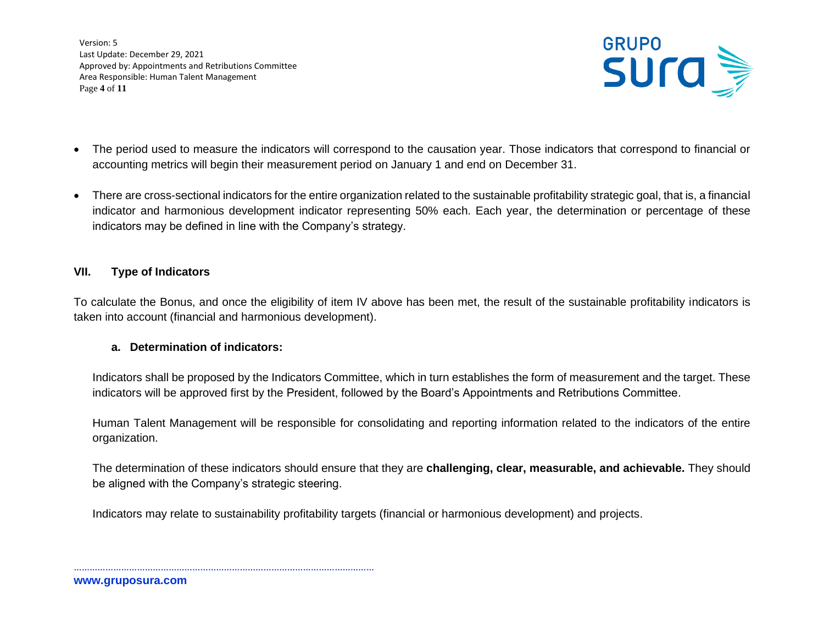Version: 5 Last Update: December 29, 2021 Approved by: Appointments and Retributions Committee Area Responsible: Human Talent Management Page **4** of **11**



- The period used to measure the indicators will correspond to the causation year. Those indicators that correspond to financial or accounting metrics will begin their measurement period on January 1 and end on December 31.
- There are cross-sectional indicators for the entire organization related to the sustainable profitability strategic goal, that is, a financial indicator and harmonious development indicator representing 50% each. Each year, the determination or percentage of these indicators may be defined in line with the Company's strategy.

### **VII. Type of Indicators**

To calculate the Bonus, and once the eligibility of item IV above has been met, the result of the sustainable profitability indicators is taken into account (financial and harmonious development).

## **a. Determination of indicators:**

……………………………………………………………………………………………………

Indicators shall be proposed by the Indicators Committee, which in turn establishes the form of measurement and the target. These indicators will be approved first by the President, followed by the Board's Appointments and Retributions Committee.

Human Talent Management will be responsible for consolidating and reporting information related to the indicators of the entire organization.

The determination of these indicators should ensure that they are **challenging, clear, measurable, and achievable.** They should be aligned with the Company's strategic steering.

Indicators may relate to sustainability profitability targets (financial or harmonious development) and projects.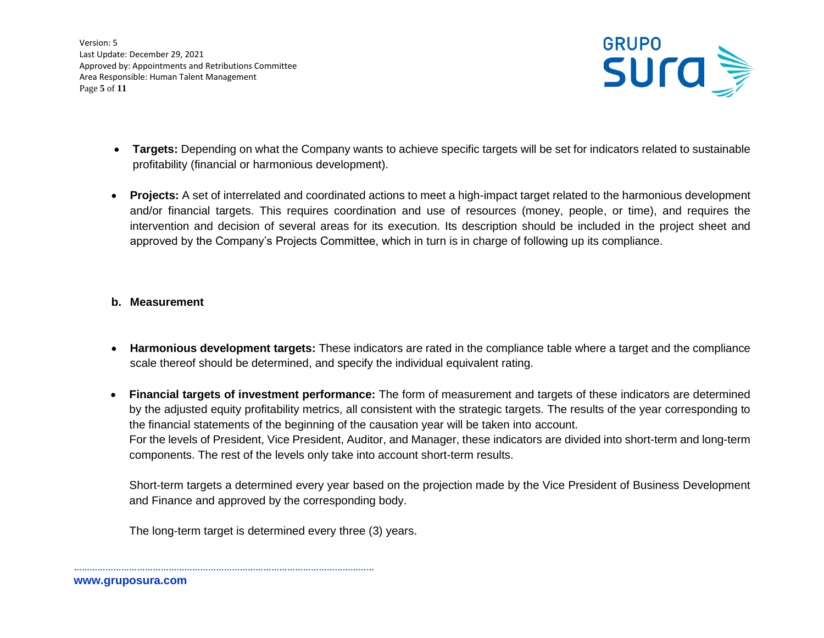Version: 5 Last Update: December 29, 2021 Approved by: Appointments and Retributions Committee Area Responsible: Human Talent Management Page **5** of **11**



- **Targets:** Depending on what the Company wants to achieve specific targets will be set for indicators related to sustainable profitability (financial or harmonious development).
- **Projects:** A set of interrelated and coordinated actions to meet a high-impact target related to the harmonious development and/or financial targets. This requires coordination and use of resources (money, people, or time), and requires the intervention and decision of several areas for its execution. Its description should be included in the project sheet and approved by the Company's Projects Committee, which in turn is in charge of following up its compliance.

### **b. Measurement**

- **Harmonious development targets:** These indicators are rated in the compliance table where a target and the compliance scale thereof should be determined, and specify the individual equivalent rating.
- **Financial targets of investment performance:** The form of measurement and targets of these indicators are determined by the adjusted equity profitability metrics, all consistent with the strategic targets. The results of the year corresponding to the financial statements of the beginning of the causation year will be taken into account. For the levels of President, Vice President, Auditor, and Manager, these indicators are divided into short-term and long-term components. The rest of the levels only take into account short-term results.

Short-term targets a determined every year based on the projection made by the Vice President of Business Development and Finance and approved by the corresponding body.

The long-term target is determined every three (3) years.

……………………………………………………………………………………………………

**www.gruposura.com**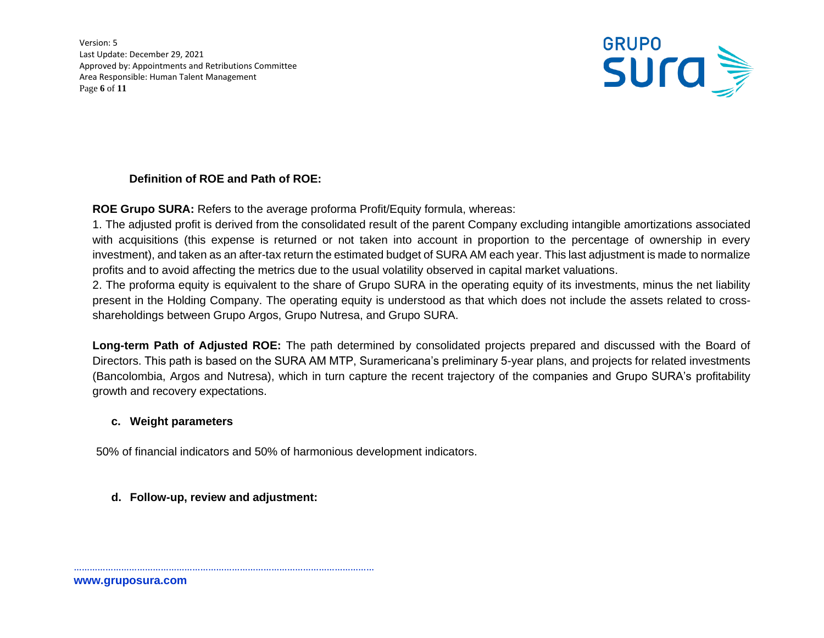Version: 5 Last Update: December 29, 2021 Approved by: Appointments and Retributions Committee Area Responsible: Human Talent Management Page **6** of **11**



# **Definition of ROE and Path of ROE:**

**ROE Grupo SURA:** Refers to the average proforma Profit/Equity formula, whereas:

1. The adjusted profit is derived from the consolidated result of the parent Company excluding intangible amortizations associated with acquisitions (this expense is returned or not taken into account in proportion to the percentage of ownership in every investment), and taken as an after-tax return the estimated budget of SURA AM each year. This last adjustment is made to normalize profits and to avoid affecting the metrics due to the usual volatility observed in capital market valuations.

2. The proforma equity is equivalent to the share of Grupo SURA in the operating equity of its investments, minus the net liability present in the Holding Company. The operating equity is understood as that which does not include the assets related to crossshareholdings between Grupo Argos, Grupo Nutresa, and Grupo SURA.

**Long-term Path of Adjusted ROE:** The path determined by consolidated projects prepared and discussed with the Board of Directors. This path is based on the SURA AM MTP, Suramericana's preliminary 5-year plans, and projects for related investments (Bancolombia, Argos and Nutresa), which in turn capture the recent trajectory of the companies and Grupo SURA's profitability growth and recovery expectations.

## **c. Weight parameters**

50% of financial indicators and 50% of harmonious development indicators.

# **d. Follow-up, review and adjustment:**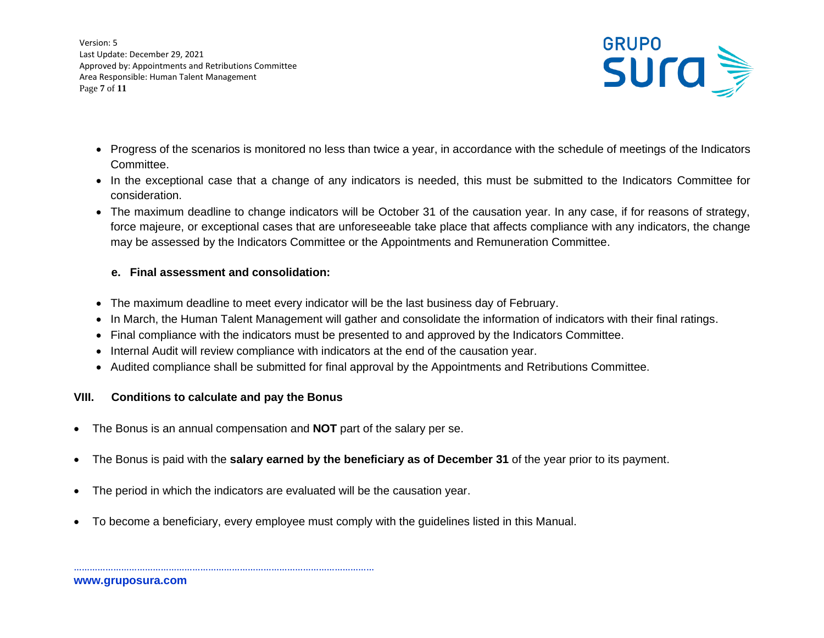Version: 5 Last Update: December 29, 2021 Approved by: Appointments and Retributions Committee Area Responsible: Human Talent Management Page **7** of **11**



- Progress of the scenarios is monitored no less than twice a year, in accordance with the schedule of meetings of the Indicators Committee.
- In the exceptional case that a change of any indicators is needed, this must be submitted to the Indicators Committee for consideration.
- The maximum deadline to change indicators will be October 31 of the causation year. In any case, if for reasons of strategy, force majeure, or exceptional cases that are unforeseeable take place that affects compliance with any indicators, the change may be assessed by the Indicators Committee or the Appointments and Remuneration Committee.

### **e. Final assessment and consolidation:**

- The maximum deadline to meet every indicator will be the last business day of February.
- In March, the Human Talent Management will gather and consolidate the information of indicators with their final ratings.
- Final compliance with the indicators must be presented to and approved by the Indicators Committee.
- Internal Audit will review compliance with indicators at the end of the causation year.
- Audited compliance shall be submitted for final approval by the Appointments and Retributions Committee.

## **VIII. Conditions to calculate and pay the Bonus**

- The Bonus is an annual compensation and **NOT** part of the salary per se.
- The Bonus is paid with the **salary earned by the beneficiary as of December 31** of the year prior to its payment.
- The period in which the indicators are evaluated will be the causation year.
- To become a beneficiary, every employee must comply with the guidelines listed in this Manual.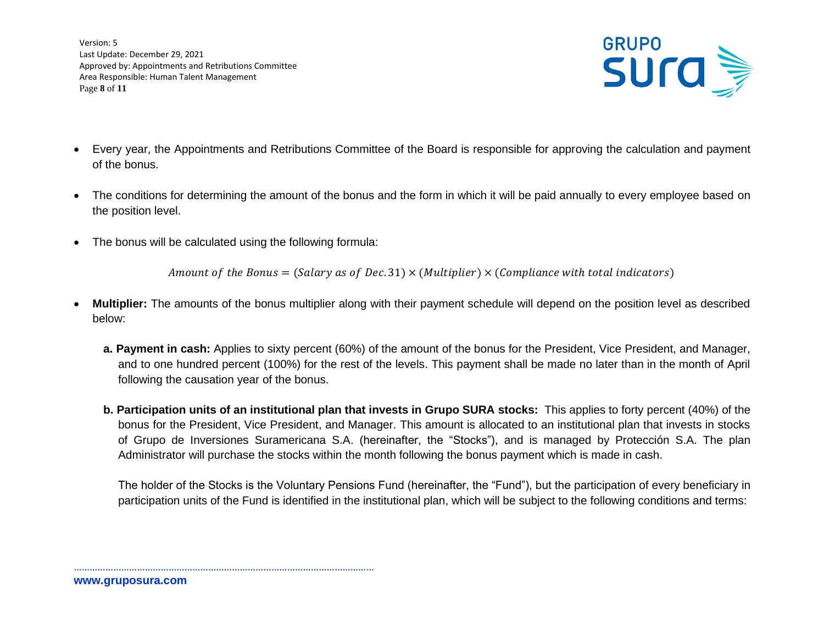Version: 5 Last Update: December 29, 2021 Approved by: Appointments and Retributions Committee Area Responsible: Human Talent Management Page **8** of **11**



- Every year, the Appointments and Retributions Committee of the Board is responsible for approving the calculation and payment of the bonus.
- The conditions for determining the amount of the bonus and the form in which it will be paid annually to every employee based on the position level.
- The bonus will be calculated using the following formula:

……………………………………………………………………………………………………

Amount of the Bonus = (Salary as of Dec. 31)  $\times$  (Multiplier)  $\times$  (Compliance with total indicators)

- **Multiplier:** The amounts of the bonus multiplier along with their payment schedule will depend on the position level as described below:
	- **a. Payment in cash:** Applies to sixty percent (60%) of the amount of the bonus for the President, Vice President, and Manager, and to one hundred percent (100%) for the rest of the levels. This payment shall be made no later than in the month of April following the causation year of the bonus.
	- **b. Participation units of an institutional plan that invests in Grupo SURA stocks:** This applies to forty percent (40%) of the bonus for the President, Vice President, and Manager. This amount is allocated to an institutional plan that invests in stocks of Grupo de Inversiones Suramericana S.A. (hereinafter, the "Stocks"), and is managed by Protección S.A. The plan Administrator will purchase the stocks within the month following the bonus payment which is made in cash.

The holder of the Stocks is the Voluntary Pensions Fund (hereinafter, the "Fund"), but the participation of every beneficiary in participation units of the Fund is identified in the institutional plan, which will be subject to the following conditions and terms: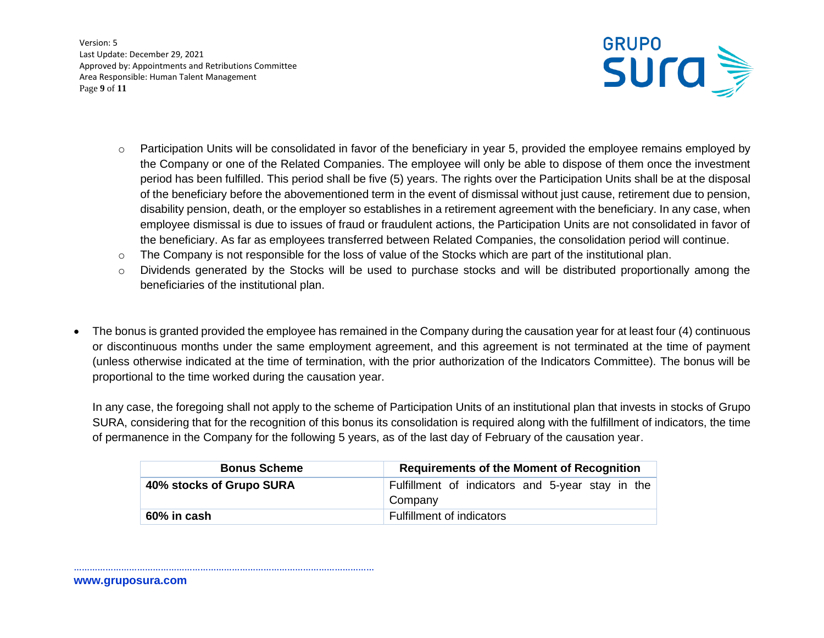Version: 5 Last Update: December 29, 2021 Approved by: Appointments and Retributions Committee Area Responsible: Human Talent Management Page **9** of **11**



- $\circ$  Participation Units will be consolidated in favor of the beneficiary in year 5, provided the employee remains employed by the Company or one of the Related Companies. The employee will only be able to dispose of them once the investment period has been fulfilled. This period shall be five (5) years. The rights over the Participation Units shall be at the disposal of the beneficiary before the abovementioned term in the event of dismissal without just cause, retirement due to pension, disability pension, death, or the employer so establishes in a retirement agreement with the beneficiary. In any case, when employee dismissal is due to issues of fraud or fraudulent actions, the Participation Units are not consolidated in favor of the beneficiary. As far as employees transferred between Related Companies, the consolidation period will continue.
- o The Company is not responsible for the loss of value of the Stocks which are part of the institutional plan.
- o Dividends generated by the Stocks will be used to purchase stocks and will be distributed proportionally among the beneficiaries of the institutional plan.
- The bonus is granted provided the employee has remained in the Company during the causation year for at least four (4) continuous or discontinuous months under the same employment agreement, and this agreement is not terminated at the time of payment (unless otherwise indicated at the time of termination, with the prior authorization of the Indicators Committee). The bonus will be proportional to the time worked during the causation year.

In any case, the foregoing shall not apply to the scheme of Participation Units of an institutional plan that invests in stocks of Grupo SURA, considering that for the recognition of this bonus its consolidation is required along with the fulfillment of indicators, the time of permanence in the Company for the following 5 years, as of the last day of February of the causation year.

| <b>Bonus Scheme</b>      | <b>Requirements of the Moment of Recognition</b>            |
|--------------------------|-------------------------------------------------------------|
| 40% stocks of Grupo SURA | Fulfillment of indicators and 5-year stay in the<br>Company |
| 60% in cash              | Fulfillment of indicators                                   |

**www.gruposura.com**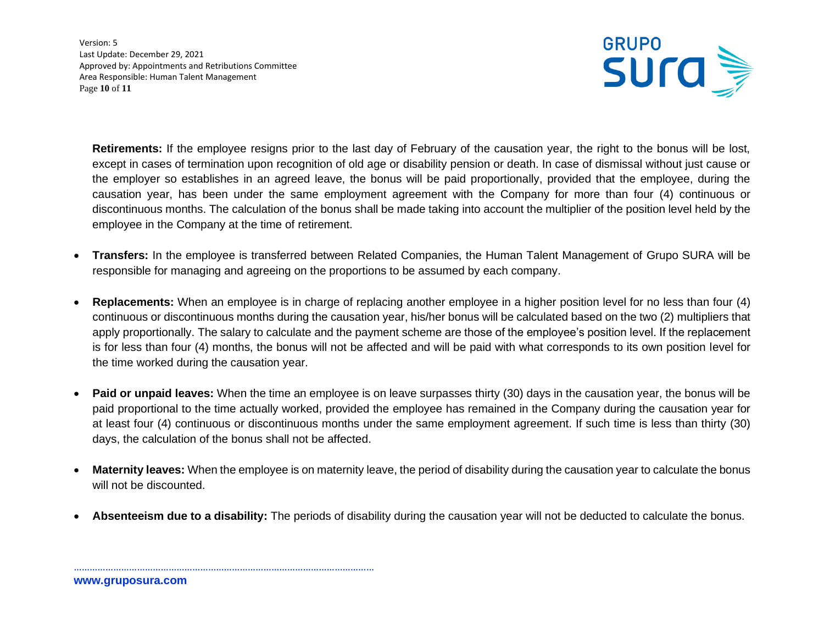Version: 5 Last Update: December 29, 2021 Approved by: Appointments and Retributions Committee Area Responsible: Human Talent Management Page **10** of **11**



**Retirements:** If the employee resigns prior to the last day of February of the causation year, the right to the bonus will be lost, except in cases of termination upon recognition of old age or disability pension or death. In case of dismissal without just cause or the employer so establishes in an agreed leave, the bonus will be paid proportionally, provided that the employee, during the causation year, has been under the same employment agreement with the Company for more than four (4) continuous or discontinuous months. The calculation of the bonus shall be made taking into account the multiplier of the position level held by the employee in the Company at the time of retirement.

- **Transfers:** In the employee is transferred between Related Companies, the Human Talent Management of Grupo SURA will be responsible for managing and agreeing on the proportions to be assumed by each company.
- **Replacements:** When an employee is in charge of replacing another employee in a higher position level for no less than four (4) continuous or discontinuous months during the causation year, his/her bonus will be calculated based on the two (2) multipliers that apply proportionally. The salary to calculate and the payment scheme are those of the employee's position level. If the replacement is for less than four (4) months, the bonus will not be affected and will be paid with what corresponds to its own position level for the time worked during the causation year.
- **Paid or unpaid leaves:** When the time an employee is on leave surpasses thirty (30) days in the causation year, the bonus will be paid proportional to the time actually worked, provided the employee has remained in the Company during the causation year for at least four (4) continuous or discontinuous months under the same employment agreement. If such time is less than thirty (30) days, the calculation of the bonus shall not be affected.
- **Maternity leaves:** When the employee is on maternity leave, the period of disability during the causation year to calculate the bonus will not be discounted.
- **Absenteeism due to a disability:** The periods of disability during the causation year will not be deducted to calculate the bonus.